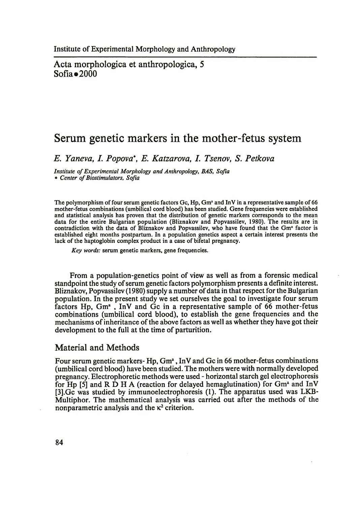Acta morphologica et anthropologica, 5  $Sofia \bullet 2000$ 

## **Serum genetic markers in the mother-fetus system**

*E. Yaneva, I. Popova*\* , *E. Katzarova, I. Tsenov, S. Petkova*

*Institute of Experimental Morphology and Anthropology, BAS, Sofia \* Center of Biostimulators, Sofia*

The polymorphism of four serum genetic factors Gc, Hp, Gm<sup>a</sup> and InV in a representative sample of 66 mother-fetus combinations (umbilical cord blood) has been studied. Gene frequencies were established and statistical analysis has proven that the distribution of genetic markers corresponds to the mean data for the entire Bulgarian population (Bliznakov and Popvassilev, 1980). The results are in contradiction with the data of Bliznakov and Popvassilev, who have found that the Gm<sup>a</sup> factor is established eight months postpartum. In a population genetics aspect a certain interest presents the lack of the haptoglobin complex product in a case of bifetal pregnancy.

*Key words:* serum genetic markers, gene frequencies.

From a population-genetics point of view as well as from a forensic medical standpoint the study of serum genetic factors polymorphism presents a definite interest. Bliznakov, Popvassilev (1980) supply a number of data in that respect for the Bulgarian population. In the present study we set ourselves the goal to investigate four serum factors Hp, Gm<sup>a</sup>, InV and Gc in a representative sample of 66 mother-fetus combinations (umbilical cord blood), to establish the gene frequencies and the mechanisms of inheritance of the above factors as well as whether they have got their development to the full at the time of parturition.

## Material and Methods

Four serum genetic markers- Hp,  $Gm<sup>a</sup>$ , InV and Gc in 66 mother-fetus combinations (umbilical cord blood) have been studied. The mothers were with normally developed pregnancy. Electrophoretic methods were used - horizontal starch gel electrophoresis for Hp  $[5]$  and R  $\dot{D}$  H A (reaction for delayed hemaglutination) for Gm<sup>a</sup> and InV [3].Gc was studied by immunoelectrophoresis (I). The apparatus used was LKB-Multiphor. The mathematical analysis was carried out after the methods of the nonparametric analysis and the  $\kappa^2$  criterion.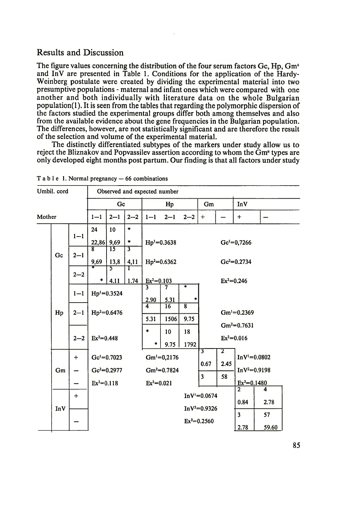## Results and Discussion

The figure values concerning the distribution of the four serum factors  $Gc$ ,  $Hp$ ,  $Gm<sup>a</sup>$ and InV are presented in Table 1. Conditions for the application of the Hardy-Weinberg postulate were created by dividing the experimental material into two presumptive populations - maternal and infant ones which were compared with one another and both individually with literature data on the whole Bulgarian  $population(1)$ . It is seen from the tables that regarding the polymorphic dispersion of the factors studied the experimental groups differ both among themselves and also from the available evidence about the gene frequencies in the Bulgarian population. The differences, however, are not statistically significant and are therefore the result of the selection and volume of the experimental material.

The distinctly differentiated subtypes of the markers under study allow us to reject the Bliznakov and Popvassilev assertion according to whom the  $\bar{G}m$ <sup> $a$ </sup> types are only developed eight months post partum. Our finding is that all factors under study

| Umbil. cord |     |           | Observed and expected number                             |                         |                                     |                                                |            |                        |                                                  |           |                                                  |             |  |  |
|-------------|-----|-----------|----------------------------------------------------------|-------------------------|-------------------------------------|------------------------------------------------|------------|------------------------|--------------------------------------------------|-----------|--------------------------------------------------|-------------|--|--|
|             |     |           | Gc                                                       |                         |                                     | Hp                                             |            |                        | Gm                                               |           | <b>InV</b>                                       |             |  |  |
| Mother      |     |           | $1 - 1$                                                  | $2 - 1$                 | $2 - 2$                             | $1 - 1$                                        | $2 - 1$    | $2 - 2$                | $\ddot{}$                                        |           | $\ddot{}$                                        |             |  |  |
|             | Gc  | $1 - 1$   | 24                                                       | 10                      | *                                   |                                                |            |                        |                                                  |           |                                                  |             |  |  |
|             |     |           | 22,86                                                    | 9,69                    | *                                   | $Hp' = 0.3638$                                 |            |                        | $Ge1=0,7266$                                     |           |                                                  |             |  |  |
|             |     | $2 - 1$   | ब्र<br>9,69                                              | $\overline{15}$<br>13,8 | $\overline{\boldsymbol{3}}$<br>4,11 | $\text{Hp}^2 = 0.6362$                         |            |                        |                                                  |           | $Ge^2=0.2734$                                    |             |  |  |
|             |     | $2 - 2$   | *                                                        | 5<br>4.11               | 1<br>1.74                           | $Ex^2=0.103$                                   |            |                        | $Ex^2=0.246$                                     |           |                                                  |             |  |  |
|             | Hp  | $1 - 1$   | $Hp' = 0.3524$<br>$\text{Hp}^2 = 0.6476$<br>$Ex^2=0.448$ |                         |                                     | $\overline{\mathbf{3}}$<br>2.90                | 7<br>5.31  | ₮                      |                                                  |           |                                                  |             |  |  |
|             |     | $2 - 1$   |                                                          |                         |                                     | $\overline{4}$<br>5.31                         | 16<br>1506 | $\overline{8}$<br>9.75 | $Gm^{1}=0.2369$                                  |           |                                                  |             |  |  |
|             |     | $2 - 2$   |                                                          |                         |                                     | $\bullet$<br>٠                                 | 10<br>9.75 | 18<br>1792             |                                                  |           | $Gm^2=0.7631$<br>$Ex^2=0.016$                    |             |  |  |
|             | Gm  | $\ddot{}$ |                                                          | $Gei=0.7023$            |                                     | $Gm^1=0,2176$<br>$Gm^2=0.7824$<br>$Ex^2=0.021$ |            |                        | 3<br>0.67                                        | 2<br>2.45 | $InV1=0.0802$<br>$InV^2=0.9198$<br>$Ex^2=0.1480$ |             |  |  |
|             |     |           | $Ex^2=0.118$                                             | $Ge^2=0.2977$           |                                     |                                                |            |                        | 3                                                | 58        |                                                  |             |  |  |
|             | InV | $^{+}$    |                                                          |                         |                                     |                                                |            |                        | $InV'=0.0674$<br>$InV^2=0.9326$<br>$Ex^2=0.2560$ |           | $\overline{2}$<br>0.84                           | 4<br>2.78   |  |  |
|             |     |           |                                                          |                         |                                     |                                                |            |                        |                                                  |           | $\overline{\mathbf{3}}$<br>2.78                  | 57<br>59.60 |  |  |

Table 1. Normal pregnancy — 66 combinations